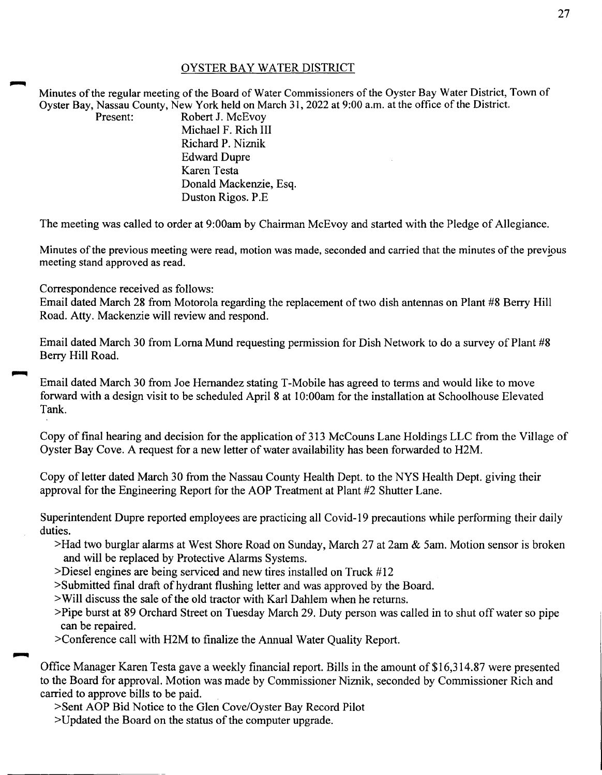## OYSTER BAY WATER DISTRICT

Minutes of the regular meeting of the Board of Water Commissioners of the Oyster Bay Water District, Town of Oyster Bay, Nassau County, New York held on March 31, 2022 at 9:00 a.m. at the office of the District.<br>Present: Robert J. McEvov

Robert J. McEvoy Michael F. Rich III Richard P. Niznik Edward Dupre Karen Testa Donald Mackenzie, Esq. Duston Rigos. P.E.

The meeting was called to order at 9:00am by Chairman McEvoy and started with the Pledge of Allegiance.

Minutes ofthe previous meeting were read, motion was made, seconded and carried that the minutes of the previous meeting stand approved as read.

Correspondence received as follows:

Email dated March 28 from Motorola regarding the replacement of two dish antennas on Plant #8 Berry Hill Road. Atty. Mackenzie will review and respond.

Email dated March 30 from Lorna Mund requesting permission for Dish Network to do a survey of Plant #8 Berry Hill Road.

Email dated March 30 from Joe Hernandez stating T-Mobile has agreed to terms and would like to move forward with a design visit to be scheduled April 8 at 1 O:OOam for the installation at Schoolhouse Elevated Tank.

Copy of final hearing and decision for the application of 313 McCouns Lane Holdings LLC from the Village of Oyster Bay Cove. A request for a new letter of water availability has been forwarded to H2M.

Copy of letter dated March 30 from the Nassau County Health Dept. to the NYS Health Dept. giving their approval for the Engineering Report for the AOP Treatment at Plant #2 Shutter Lane.

Superintendent Dupre reported employees are practicing all Covid-19 precautions while performing their daily duties.

- >Had two burglar alarms at West Shore Road on Sunday, March 27 at 2am & Sam. Motion sensor is broken and will be replaced by Protective Alarms Systems.
- >Diesel engines are being serviced and new tires installed on Truck #12
- >Submitted final draft of hydrant flushing letter and was approved by the Board.
- >Will discuss the sale of the old tractor with Karl Dahlem when he returns.
- >Pipe burst at 89 Orchard Street on Tuesday March 29. Duty person was called in to shut off water so pipe can be repaired.
- >Conference call with H2M to finalize the Annual Water Quality Report.

Office Manager Karen Testa gave a weekly financial report. Bills in the amount of \$16,314.87 were presented to the Board for approval. Motion was made by Commissioner Niznik, seconded by Commissioner Rich and carried to approve bills to be paid.

>Sent AOP Bid Notice to the Glen Cove/Oyster Bay Record Pilot

>Updated the Board on the status of the computer upgrade.